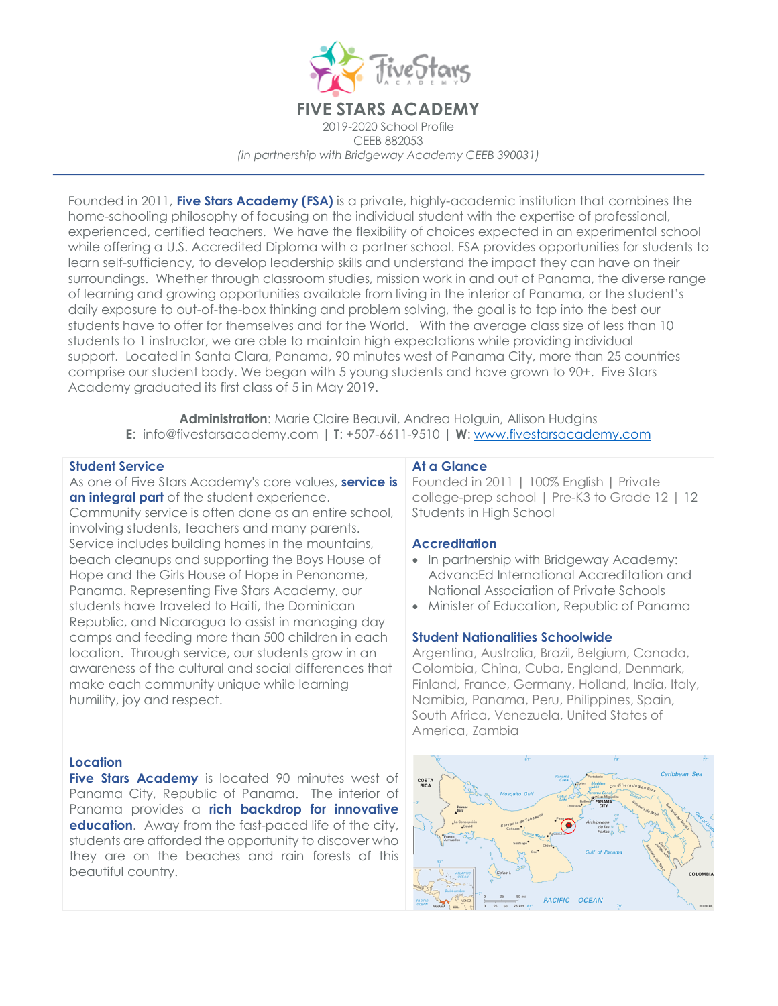

Founded in 2011, **Five Stars Academy (FSA)** is a private, highly-academic institution that combines the home-schooling philosophy of focusing on the individual student with the expertise of professional, experienced, certified teachers. We have the flexibility of choices expected in an experimental school while offering a U.S. Accredited Diploma with a partner school. FSA provides opportunities for students to learn self-sufficiency, to develop leadership skills and understand the impact they can have on their surroundings. Whether through classroom studies, mission work in and out of Panama, the diverse range of learning and growing opportunities available from living in the interior of Panama, or the student's daily exposure to out-of-the-box thinking and problem solving, the goal is to tap into the best our students have to offer for themselves and for the World. With the average class size of less than 10 students to 1 instructor, we are able to maintain high expectations while providing individual support. Located in Santa Clara, Panama, 90 minutes west of Panama City, more than 25 countries comprise our student body. We began with 5 young students and have grown to 90+. Five Stars Academy graduated its first class of 5 in May 2019.

**Administration**: Marie Claire Beauvil, Andrea Holguin, Allison Hudgins **E**: info@fivestarsacademy.com | **T**: +507-6611-9510 | **W**: www.fivestarsacademy.com

#### **Student Service**

As one of Five Stars Academy's core values, **service is an integral part** of the student experience. Community service is often done as an entire school, involving students, teachers and many parents. Service includes building homes in the mountains, beach cleanups and supporting the Boys House of Hope and the Girls House of Hope in Penonome, Panama. Representing Five Stars Academy, our students have traveled to Haiti, the Dominican Republic, and Nicaragua to assist in managing day camps and feeding more than 500 children in each location. Through service, our students grow in an awareness of the cultural and social differences that make each community unique while learning humility, joy and respect.

# **At a Glance**

Founded in 2011 **|** 100% English **|** Private college-prep school | Pre-K3 to Grade 12 | 12 Students in High School

## **Accreditation**

- In partnership with Bridgeway Academy: AdvancEd International Accreditation and National Association of Private Schools
- Minister of Education, Republic of Panama

## **Student Nationalities Schoolwide**

Argentina, Australia, Brazil, Belgium, Canada, Colombia, China, Cuba, England, Denmark, Finland, France, Germany, Holland, India, Italy, Namibia, Panama, Peru, Philippines, Spain, South Africa, Venezuela, United States of America, Zambia

#### **Location**

**Five Stars Academy** is located 90 minutes west of Panama City, Republic of Panama. The interior of Panama provides a **rich backdrop for innovative education.** Away from the fast-paced life of the city, students are afforded the opportunity to discover who they are on the beaches and rain forests of this beautiful country.